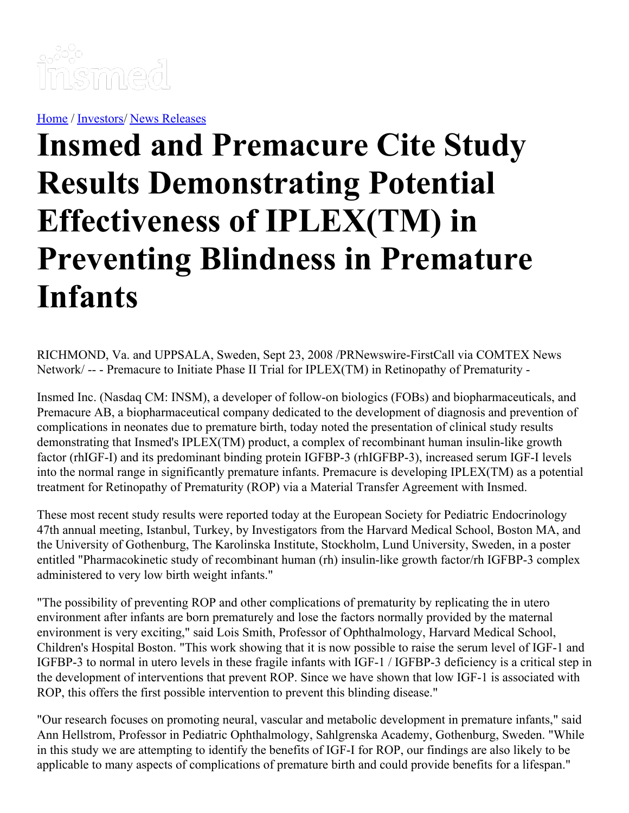

[Home](https://insmed.com/) / [Investors](https://investor.insmed.com/index)/ News [Releases](https://investor.insmed.com/releases)

# **Insmed and Premacure Cite Study Results Demonstrating Potential Effectiveness of IPLEX(TM) in Preventing Blindness in Premature Infants**

RICHMOND, Va. and UPPSALA, Sweden, Sept 23, 2008 /PRNewswire-FirstCall via COMTEX News Network/ -- - Premacure to Initiate Phase II Trial for IPLEX(TM) in Retinopathy of Prematurity -

Insmed Inc. (Nasdaq CM: INSM), a developer of follow-on biologics (FOBs) and biopharmaceuticals, and Premacure AB, a biopharmaceutical company dedicated to the development of diagnosis and prevention of complications in neonates due to premature birth, today noted the presentation of clinical study results demonstrating that Insmed's IPLEX(TM) product, a complex of recombinant human insulin-like growth factor (rhIGF-I) and its predominant binding protein IGFBP-3 (rhIGFBP-3), increased serum IGF-I levels into the normal range in significantly premature infants. Premacure is developing IPLEX(TM) as a potential treatment for Retinopathy of Prematurity (ROP) via a Material Transfer Agreement with Insmed.

These most recent study results were reported today at the European Society for Pediatric Endocrinology 47th annual meeting, Istanbul, Turkey, by Investigators from the Harvard Medical School, Boston MA, and the University of Gothenburg, The Karolinska Institute, Stockholm, Lund University, Sweden, in a poster entitled "Pharmacokinetic study of recombinant human (rh) insulin-like growth factor/rh IGFBP-3 complex administered to very low birth weight infants."

"The possibility of preventing ROP and other complications of prematurity by replicating the in utero environment after infants are born prematurely and lose the factors normally provided by the maternal environment is very exciting," said Lois Smith, Professor of Ophthalmology, Harvard Medical School, Children's Hospital Boston. "This work showing that it is now possible to raise the serum level of IGF-1 and IGFBP-3 to normal in utero levels in these fragile infants with IGF-1 / IGFBP-3 deficiency is a critical step in the development of interventions that prevent ROP. Since we have shown that low IGF-1 is associated with ROP, this offers the first possible intervention to prevent this blinding disease."

"Our research focuses on promoting neural, vascular and metabolic development in premature infants," said Ann Hellstrom, Professor in Pediatric Ophthalmology, Sahlgrenska Academy, Gothenburg, Sweden. "While in this study we are attempting to identify the benefits of IGF-I for ROP, our findings are also likely to be applicable to many aspects of complications of premature birth and could provide benefits for a lifespan."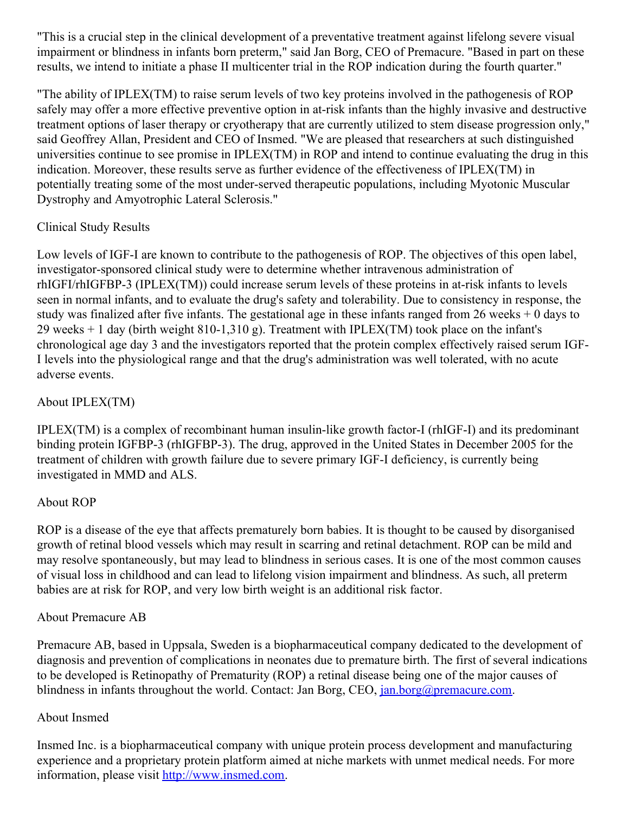"This is a crucial step in the clinical development of a preventative treatment against lifelong severe visual impairment or blindness in infants born preterm," said Jan Borg, CEO of Premacure. "Based in part on these results, we intend to initiate a phase II multicenter trial in the ROP indication during the fourth quarter."

"The ability of IPLEX(TM) to raise serum levels of two key proteins involved in the pathogenesis of ROP safely may offer a more effective preventive option in at-risk infants than the highly invasive and destructive treatment options of laser therapy or cryotherapy that are currently utilized to stem disease progression only," said Geoffrey Allan, President and CEO of Insmed. "We are pleased that researchers at such distinguished universities continue to see promise in IPLEX(TM) in ROP and intend to continue evaluating the drug in this indication. Moreover, these results serve as further evidence of the effectiveness of IPLEX(TM) in potentially treating some of the most under-served therapeutic populations, including Myotonic Muscular Dystrophy and Amyotrophic Lateral Sclerosis."

## Clinical Study Results

Low levels of IGF-I are known to contribute to the pathogenesis of ROP. The objectives of this open label, investigator-sponsored clinical study were to determine whether intravenous administration of rhIGFI/rhIGFBP-3 (IPLEX(TM)) could increase serum levels of these proteins in at-risk infants to levels seen in normal infants, and to evaluate the drug's safety and tolerability. Due to consistency in response, the study was finalized after five infants. The gestational age in these infants ranged from 26 weeks + 0 days to 29 weeks + 1 day (birth weight 810-1,310 g). Treatment with IPLEX(TM) took place on the infant's chronological age day 3 and the investigators reported that the protein complex effectively raised serum IGF-I levels into the physiological range and that the drug's administration was well tolerated, with no acute adverse events.

## About IPLEX(TM)

IPLEX(TM) is a complex of recombinant human insulin-like growth factor-I (rhIGF-I) and its predominant binding protein IGFBP-3 (rhIGFBP-3). The drug, approved in the United States in December 2005 for the treatment of children with growth failure due to severe primary IGF-I deficiency, is currently being investigated in MMD and ALS.

# About ROP

ROP is a disease of the eye that affects prematurely born babies. It is thought to be caused by disorganised growth of retinal blood vessels which may result in scarring and retinal detachment. ROP can be mild and may resolve spontaneously, but may lead to blindness in serious cases. It is one of the most common causes of visual loss in childhood and can lead to lifelong vision impairment and blindness. As such, all preterm babies are at risk for ROP, and very low birth weight is an additional risk factor.

## About Premacure AB

Premacure AB, based in Uppsala, Sweden is a biopharmaceutical company dedicated to the development of diagnosis and prevention of complications in neonates due to premature birth. The first of several indications to be developed is Retinopathy of Prematurity (ROP) a retinal disease being one of the major causes of blindness in infants throughout the world. Contact: Jan Borg, CEO, <u>[jan.borg@premacure.com](mailto:jan.borg@premacure.com)</u>.

## About Insmed

Insmed Inc. is a biopharmaceutical company with unique protein process development and manufacturing experience and a proprietary protein platform aimed at niche markets with unmet medical needs. For more information, please visit [http://www.insmed.com](http://www.insmed.com/).